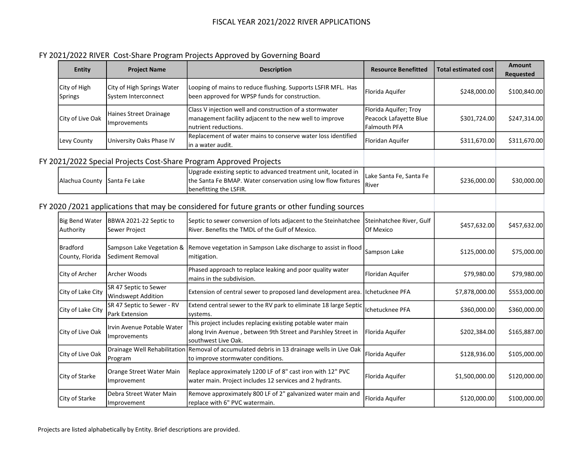## FY 2021/2022 RIVER Cost-Share Program Projects Approved by Governing Board

| <b>Entity</b>                      | <b>Project Name</b>                                 | <b>Description</b>                                                                                                                                        | <b>Resource Benefitted</b>                                      | <b>Total estimated cost</b> | <b>Amount</b><br>Requested |
|------------------------------------|-----------------------------------------------------|-----------------------------------------------------------------------------------------------------------------------------------------------------------|-----------------------------------------------------------------|-----------------------------|----------------------------|
| City of High<br><b>Springs</b>     | City of High Springs Water<br>System Interconnect   | Looping of mains to reduce flushing. Supports LSFIR MFL. Has<br>been approved for WPSP funds for construction.                                            | Florida Aquifer                                                 | \$248,000.00                | \$100,840.00               |
| City of Live Oak                   | Haines Street Drainage<br>Improvements              | Class V injection well and construction of a stormwater<br>management facility adjacent to the new well to improve<br>nutrient reductions.                | Florida Aquifer; Troy<br>Peacock Lafayette Blue<br>Falmouth PFA | \$301,724.00                | \$247,314.00               |
| Levy County                        | University Oaks Phase IV                            | Replacement of water mains to conserve water loss identified<br>in a water audit.                                                                         | Floridan Aquifer                                                | \$311,670.00                | \$311,670.00               |
|                                    |                                                     | FY 2021/2022 Special Projects Cost-Share Program Approved Projects                                                                                        |                                                                 |                             |                            |
| Alachua County Santa Fe Lake       |                                                     | Upgrade existing septic to advanced treatment unit, located in<br>the Santa Fe BMAP. Water conservation using low flow fixtures<br>benefitting the LSFIR. | Lake Santa Fe, Santa Fe<br>River                                | \$236,000.00                | \$30,000.00                |
|                                    |                                                     | FY 2020 /2021 applications that may be considered for future grants or other funding sources                                                              |                                                                 |                             |                            |
| <b>Big Bend Water</b><br>Authority | BBWA 2021-22 Septic to<br>Sewer Project             | Septic to sewer conversion of lots adjacent to the Steinhatchee Steinhatchee River, Gulf<br>River. Benefits the TMDL of the Gulf of Mexico.               | Of Mexico                                                       | \$457,632.00                | \$457,632.00               |
| <b>Bradford</b><br>County, Florida | Sampson Lake Vegetation &<br>Sediment Removal       | Remove vegetation in Sampson Lake discharge to assist in flood<br>mitigation.                                                                             | Sampson Lake                                                    | \$125,000.00                | \$75,000.00                |
| City of Archer                     | lArcher Woods                                       | Phased approach to replace leaking and poor quality water<br>mains in the subdivision.                                                                    | Floridan Aquifer                                                | \$79,980.00                 | \$79,980.00                |
| City of Lake City                  | SR 47 Septic to Sewer<br><b>Windswept Addition</b>  | Extension of central sewer to proposed land development area.                                                                                             | Ichetucknee PFA                                                 | \$7,878,000.00              | \$553,000.00               |
| City of Lake City                  | SR 47 Septic to Sewer - RV<br><b>Park Extension</b> | Extend central sewer to the RV park to eliminate 18 large Septic<br>systems.                                                                              | Ichetucknee PFA                                                 | \$360,000.00                | \$360,000.00               |
| City of Live Oak                   | Irvin Avenue Potable Water<br>Improvements          | This project includes replacing existing potable water main<br>along Irvin Avenue, between 9th Street and Parshley Street in<br>southwest Live Oak.       | Florida Aquifer                                                 | \$202,384.00                | \$165,887.00               |
| City of Live Oak                   | Drainage Well Rehabilitation<br>Program             | Removal of accumulated debris in 13 drainage wells in Live Oak<br>to improve stormwater conditions.                                                       | Florida Aquifer                                                 | \$128,936.00                | \$105,000.00               |
| City of Starke                     | Orange Street Water Main<br>Improvement             | Replace approximately 1200 LF of 8" cast iron with 12" PVC<br>water main. Project includes 12 services and 2 hydrants.                                    | Florida Aquifer                                                 | \$1,500,000.00              | \$120,000.00               |
| City of Starke                     | Debra Street Water Main<br>Improvement              | Remove approximately 800 LF of 2" galvanized water main and<br>replace with 6" PVC watermain.                                                             | Florida Aquifer                                                 | \$120,000.00                | \$100,000.00               |